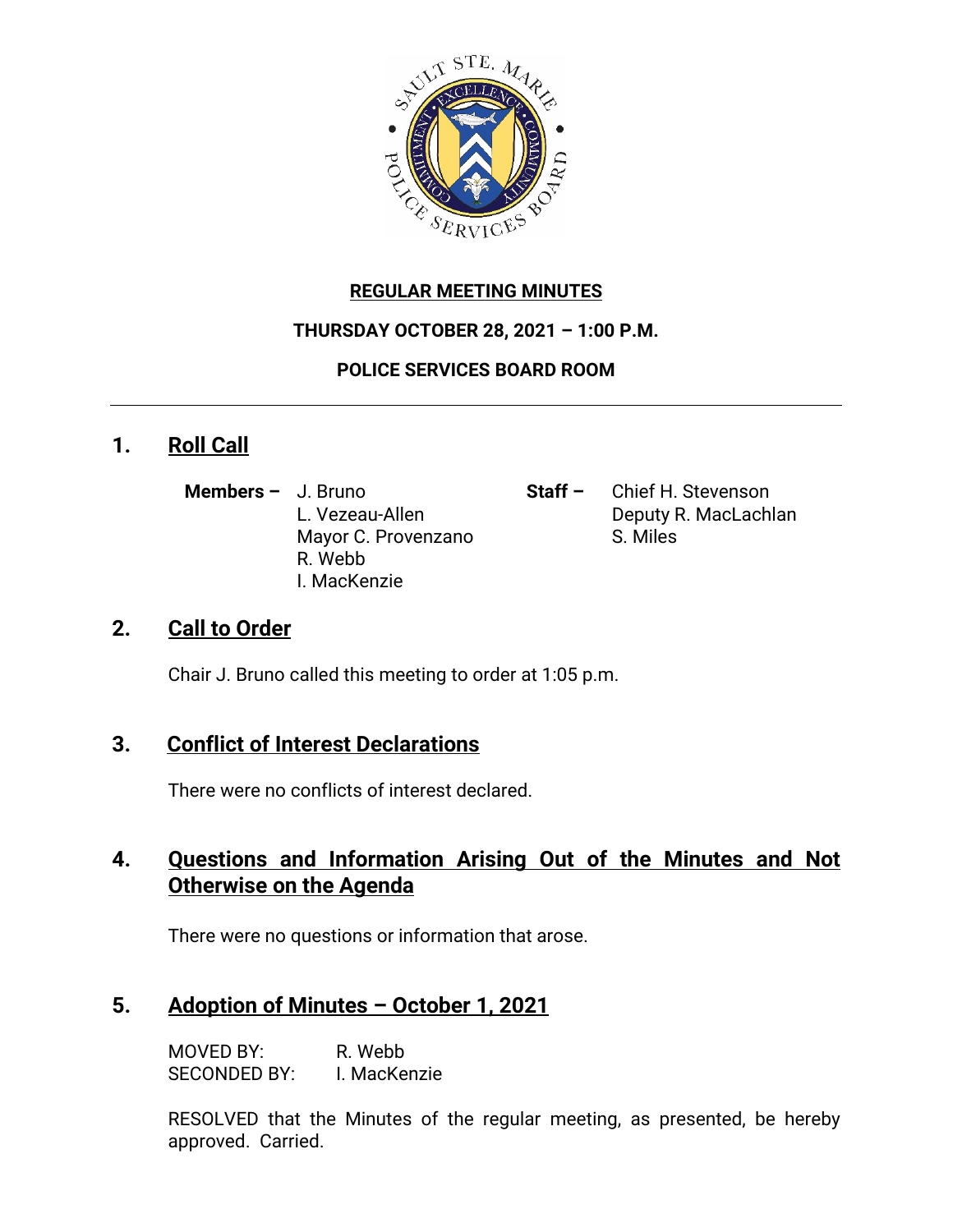

#### **REGULAR MEETING MINUTES**

#### **THURSDAY OCTOBER 28, 2021 – 1:00 P.M.**

#### **POLICE SERVICES BOARD ROOM**

## **1. Roll Call**

- **Members –** J. Bruno **Staff –** Chief H. Stevenson Mayor C. Provenzano S. Miles R. Webb I. MacKenzie
- L. Vezeau-Allen **Deputy R. MacLachlan**

## **2. Call to Order**

Chair J. Bruno called this meeting to order at 1:05 p.m.

## **3. Conflict of Interest Declarations**

There were no conflicts of interest declared.

## **4. Questions and Information Arising Out of the Minutes and Not Otherwise on the Agenda**

There were no questions or information that arose.

## **5. Adoption of Minutes – October 1, 2021**

MOVED BY: R. Webb SECONDED BY: I. MacKenzie

RESOLVED that the Minutes of the regular meeting, as presented, be hereby approved. Carried.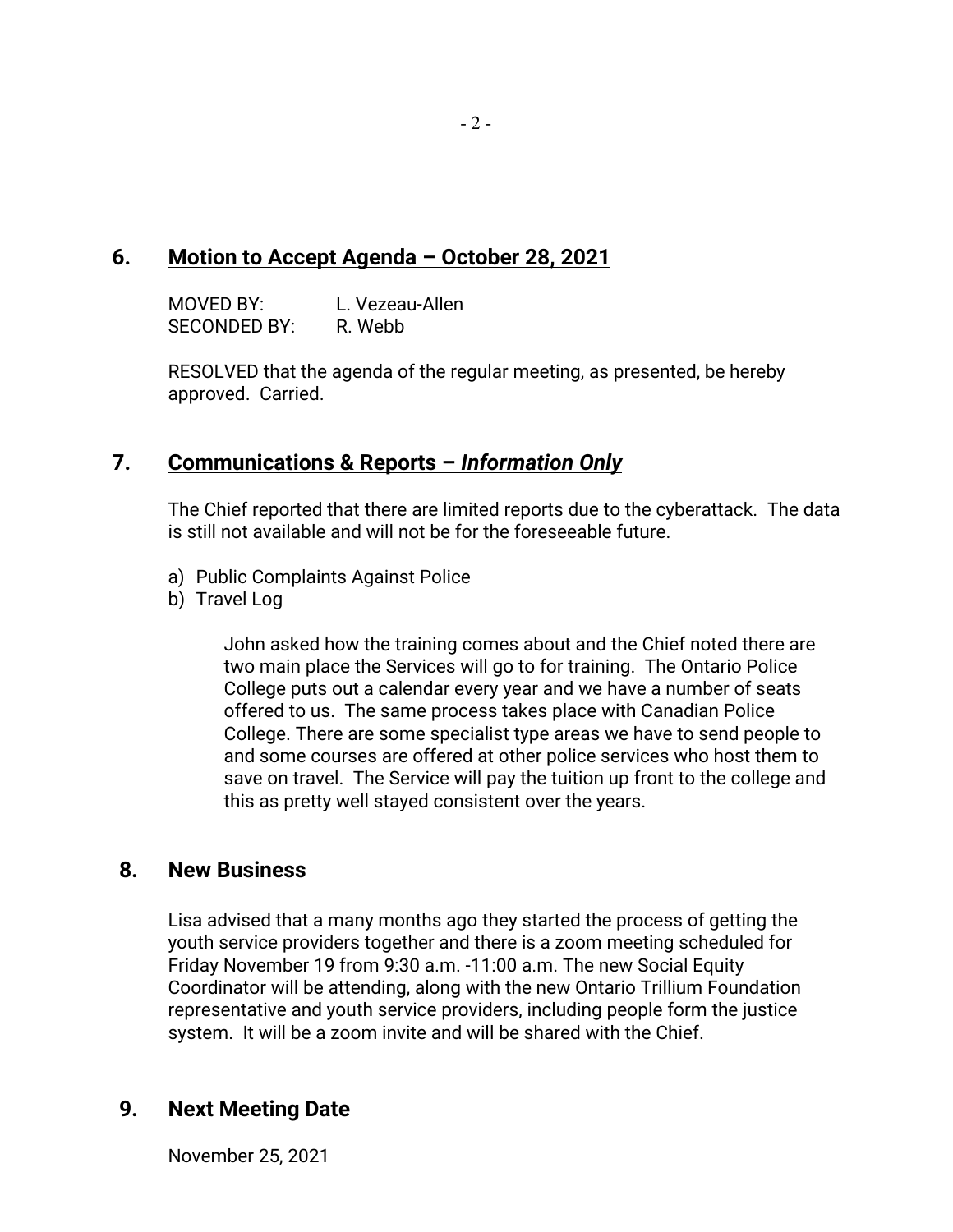#### **6. Motion to Accept Agenda – October 28, 2021**

MOVED BY: L. Vezeau-Allen SECONDED BY: R. Webb

RESOLVED that the agenda of the regular meeting, as presented, be hereby approved. Carried.

#### **7. Communications & Reports –** *Information Only*

The Chief reported that there are limited reports due to the cyberattack. The data is still not available and will not be for the foreseeable future.

- a) Public Complaints Against Police
- b) Travel Log

John asked how the training comes about and the Chief noted there are two main place the Services will go to for training. The Ontario Police College puts out a calendar every year and we have a number of seats offered to us. The same process takes place with Canadian Police College. There are some specialist type areas we have to send people to and some courses are offered at other police services who host them to save on travel. The Service will pay the tuition up front to the college and this as pretty well stayed consistent over the years.

#### **8. New Business**

Lisa advised that a many months ago they started the process of getting the youth service providers together and there is a zoom meeting scheduled for Friday November 19 from 9:30 a.m. -11:00 a.m. The new Social Equity Coordinator will be attending, along with the new Ontario Trillium Foundation representative and youth service providers, including people form the justice system. It will be a zoom invite and will be shared with the Chief.

## **9. Next Meeting Date**

November 25, 2021